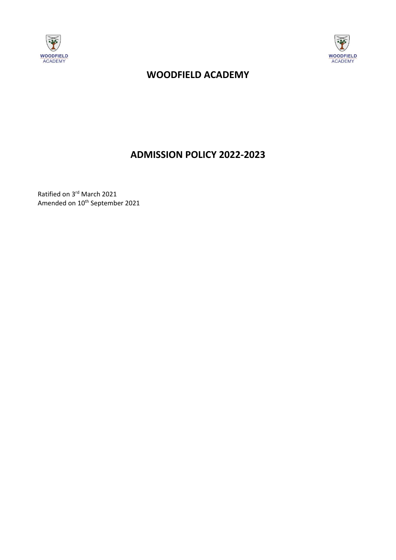



# **WOODFIELD ACADEMY**

# **ADMISSION POLICY 2022-2023**

Ratified on 3<sup>rd</sup> March 2021 Amended on 10<sup>th</sup> September 2021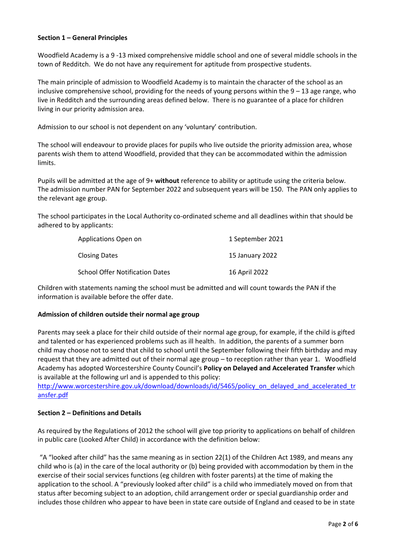## **Section 1 – General Principles**

Woodfield Academy is a 9 -13 mixed comprehensive middle school and one of several middle schools in the town of Redditch. We do not have any requirement for aptitude from prospective students.

The main principle of admission to Woodfield Academy is to maintain the character of the school as an inclusive comprehensive school, providing for the needs of young persons within the  $9 - 13$  age range, who live in Redditch and the surrounding areas defined below. There is no guarantee of a place for children living in our priority admission area.

Admission to our school is not dependent on any 'voluntary' contribution.

The school will endeavour to provide places for pupils who live outside the priority admission area, whose parents wish them to attend Woodfield, provided that they can be accommodated within the admission limits.

Pupils will be admitted at the age of 9+ **without** reference to ability or aptitude using the criteria below. The admission number PAN for September 2022 and subsequent years will be 150. The PAN only applies to the relevant age group.

The school participates in the Local Authority co-ordinated scheme and all deadlines within that should be adhered to by applicants:

| Applications Open on                   | 1 September 2021 |
|----------------------------------------|------------------|
| <b>Closing Dates</b>                   | 15 January 2022  |
| <b>School Offer Notification Dates</b> | 16 April 2022    |

Children with statements naming the school must be admitted and will count towards the PAN if the information is available before the offer date.

#### **Admission of children outside their normal age group**

Parents may seek a place for their child outside of their normal age group, for example, if the child is gifted and talented or has experienced problems such as ill health. In addition, the parents of a summer born child may choose not to send that child to school until the September following their fifth birthday and may request that they are admitted out of their normal age group – to reception rather than year 1. Woodfield Academy has adopted Worcestershire County Council's **Policy on Delayed and Accelerated Transfer** which is available at the following url and is appended to this policy:

[http://www.worcestershire.gov.uk/download/downloads/id/5465/policy\\_on\\_delayed\\_and\\_accelerated\\_tr](http://www.worcestershire.gov.uk/download/downloads/id/5465/policy_on_delayed_and_accelerated_transfer.pdf) [ansfer.pdf](http://www.worcestershire.gov.uk/download/downloads/id/5465/policy_on_delayed_and_accelerated_transfer.pdf)

#### **Section 2 – Definitions and Details**

As required by the Regulations of 2012 the school will give top priority to applications on behalf of children in public care (Looked After Child) in accordance with the definition below:

"A "looked after child" has the same meaning as in section 22(1) of the Children Act 1989, and means any child who is (a) in the care of the local authority or (b) being provided with accommodation by them in the exercise of their social services functions (eg children with foster parents) at the time of making the application to the school. A "previously looked after child" is a child who immediately moved on from that status after becoming subject to an adoption, child arrangement order or special guardianship order and includes those children who appear to have been in state care outside of England and ceased to be in state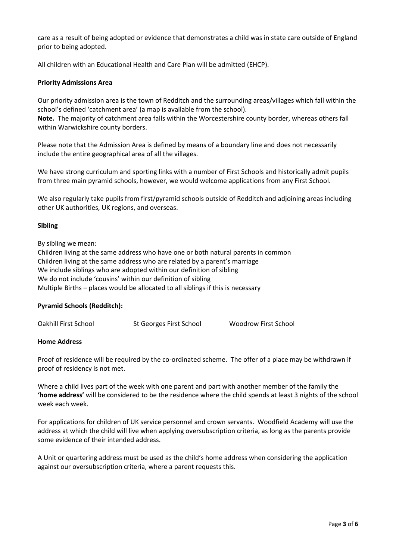care as a result of being adopted or evidence that demonstrates a child was in state care outside of England prior to being adopted.

All children with an Educational Health and Care Plan will be admitted (EHCP).

## **Priority Admissions Area**

Our priority admission area is the town of Redditch and the surrounding areas/villages which fall within the school's defined 'catchment area' (a map is available from the school).

**Note.** The majority of catchment area falls within the Worcestershire county border, whereas others fall within Warwickshire county borders.

Please note that the Admission Area is defined by means of a boundary line and does not necessarily include the entire geographical area of all the villages.

We have strong curriculum and sporting links with a number of First Schools and historically admit pupils from three main pyramid schools, however, we would welcome applications from any First School.

We also regularly take pupils from first/pyramid schools outside of Redditch and adjoining areas including other UK authorities, UK regions, and overseas.

## **Sibling**

By sibling we mean:

Children living at the same address who have one or both natural parents in common Children living at the same address who are related by a parent's marriage We include siblings who are adopted within our definition of sibling We do not include 'cousins' within our definition of sibling Multiple Births – places would be allocated to all siblings if this is necessary

#### **Pyramid Schools (Redditch):**

| Oakhill First School | St Georges First School | Woodrow First School |
|----------------------|-------------------------|----------------------|
|----------------------|-------------------------|----------------------|

#### **Home Address**

Proof of residence will be required by the co-ordinated scheme. The offer of a place may be withdrawn if proof of residency is not met.

Where a child lives part of the week with one parent and part with another member of the family the **'home address'** will be considered to be the residence where the child spends at least 3 nights of the school week each week.

For applications for children of UK service personnel and crown servants. Woodfield Academy will use the address at which the child will live when applying oversubscription criteria, as long as the parents provide some evidence of their intended address.

A Unit or quartering address must be used as the child's home address when considering the application against our oversubscription criteria, where a parent requests this.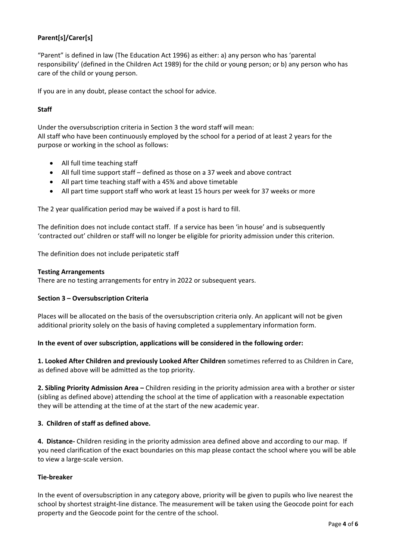## **Parent[s]/Carer[s]**

"Parent" is defined in law (The Education Act 1996) as either: a) any person who has 'parental responsibility' (defined in the Children Act 1989) for the child or young person; or b) any person who has care of the child or young person.

If you are in any doubt, please contact the school for advice.

## **Staff**

Under the oversubscription criteria in Section 3 the word staff will mean: All staff who have been continuously employed by the school for a period of at least 2 years for the purpose or working in the school as follows:

- All full time teaching staff
- All full time support staff defined as those on a 37 week and above contract
- All part time teaching staff with a 45% and above timetable
- All part time support staff who work at least 15 hours per week for 37 weeks or more

The 2 year qualification period may be waived if a post is hard to fill.

The definition does not include contact staff. If a service has been 'in house' and is subsequently 'contracted out' children or staff will no longer be eligible for priority admission under this criterion.

The definition does not include peripatetic staff

#### **Testing Arrangements**

There are no testing arrangements for entry in 2022 or subsequent years.

## **Section 3 – Oversubscription Criteria**

Places will be allocated on the basis of the oversubscription criteria only. An applicant will not be given additional priority solely on the basis of having completed a supplementary information form.

#### **In the event of over subscription, applications will be considered in the following order:**

**1. Looked After Children and previously Looked After Children** sometimes referred to as Children in Care, as defined above will be admitted as the top priority.

**2. Sibling Priority Admission Area –** Children residing in the priority admission area with a brother or sister (sibling as defined above) attending the school at the time of application with a reasonable expectation they will be attending at the time of at the start of the new academic year.

#### **3. Children of staff as defined above.**

**4. Distance-** Children residing in the priority admission area defined above and according to our map. If you need clarification of the exact boundaries on this map please contact the school where you will be able to view a large-scale version.

## **Tie-breaker**

In the event of oversubscription in any category above, priority will be given to pupils who live nearest the school by shortest straight-line distance. The measurement will be taken using the Geocode point for each property and the Geocode point for the centre of the school.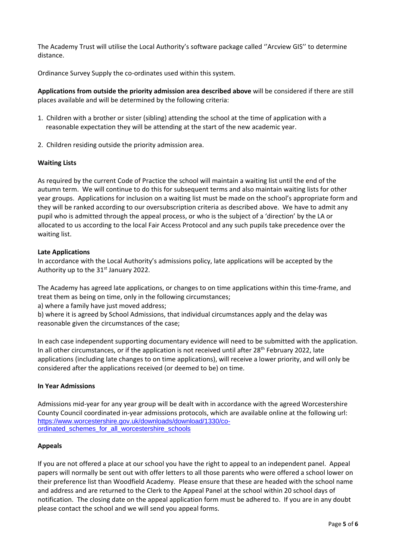The Academy Trust will utilise the Local Authority's software package called ''Arcview GIS'' to determine distance.

Ordinance Survey Supply the co-ordinates used within this system.

**Applications from outside the priority admission area described above** will be considered if there are still places available and will be determined by the following criteria:

- 1. Children with a brother or sister (sibling) attending the school at the time of application with a reasonable expectation they will be attending at the start of the new academic year.
- 2. Children residing outside the priority admission area.

## **Waiting Lists**

As required by the current Code of Practice the school will maintain a waiting list until the end of the autumn term. We will continue to do this for subsequent terms and also maintain waiting lists for other year groups. Applications for inclusion on a waiting list must be made on the school's appropriate form and they will be ranked according to our oversubscription criteria as described above. We have to admit any pupil who is admitted through the appeal process, or who is the subject of a 'direction' by the LA or allocated to us according to the local Fair Access Protocol and any such pupils take precedence over the waiting list.

## **Late Applications**

In accordance with the Local Authority's admissions policy, late applications will be accepted by the Authority up to the  $31<sup>st</sup>$  January 2022.

The Academy has agreed late applications, or changes to on time applications within this time-frame, and treat them as being on time, only in the following circumstances;

a) where a family have just moved address;

b) where it is agreed by School Admissions, that individual circumstances apply and the delay was reasonable given the circumstances of the case;

In each case independent supporting documentary evidence will need to be submitted with the application. In all other circumstances, or if the application is not received until after 28<sup>th</sup> February 2022, late applications (including late changes to on time applications), will receive a lower priority, and will only be considered after the applications received (or deemed to be) on time.

#### **In Year Admissions**

Admissions mid-year for any year group will be dealt with in accordance with the agreed Worcestershire County Council coordinated in-year admissions protocols, which are available online at the following url: [https://www.worcestershire.gov.uk/downloads/download/1330/co](https://www.worcestershire.gov.uk/downloads/download/1330/co-ordinated_schemes_for_all_worcestershire_schools)[ordinated\\_schemes\\_for\\_all\\_worcestershire\\_schools](https://www.worcestershire.gov.uk/downloads/download/1330/co-ordinated_schemes_for_all_worcestershire_schools)

#### **Appeals**

If you are not offered a place at our school you have the right to appeal to an independent panel. Appeal papers will normally be sent out with offer letters to all those parents who were offered a school lower on their preference list than Woodfield Academy. Please ensure that these are headed with the school name and address and are returned to the Clerk to the Appeal Panel at the school within 20 school days of notification. The closing date on the appeal application form must be adhered to. If you are in any doubt please contact the school and we will send you appeal forms.